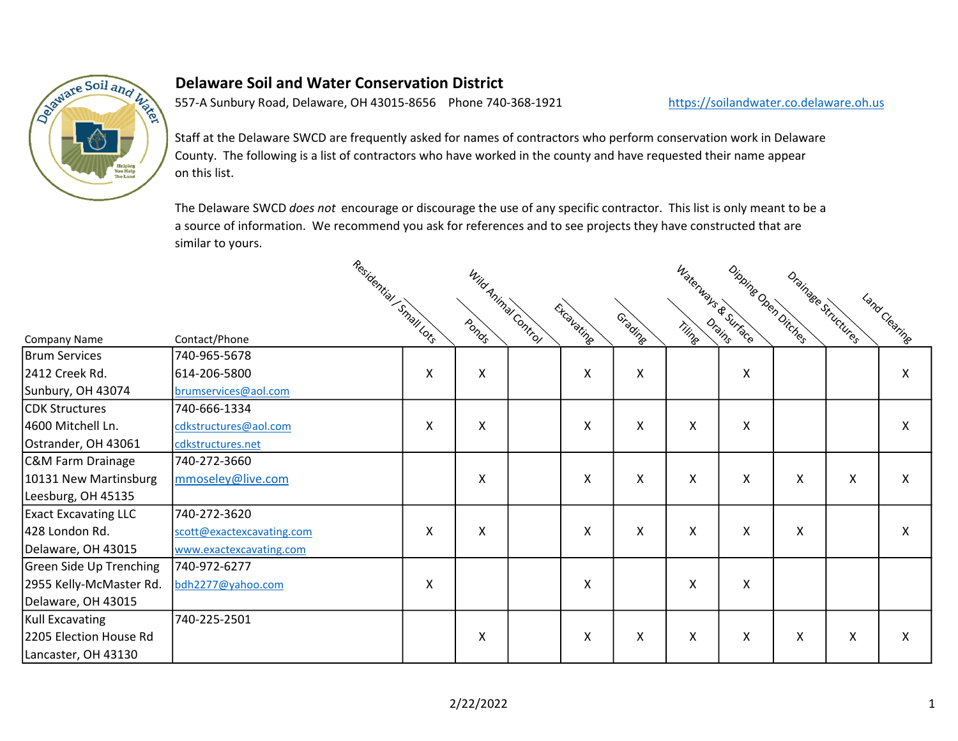

## Delaware Soil and Water Conservation District

557-A Sunbury Road, Delaware, OH 43015-8656 Phone 740-368-1921 https://soilandwater.co.delaware.oh.us

Staff at the Delaware SWCD are frequently asked for names of contractors who perform conservation work in Delaware County. The following is a list of contractors who have worked in the county and have requested their name appear on this list.

The Delaware SWCD does not encourage or discourage the use of any specific contractor. This list is only meant to be a a source of information. We recommend you ask for references and to see projects they have constructed that are similar to yours.

|                             |                           |                        |   |                     |            | Waterways & Surrace<br>Dipping Den Ditches |   |                           |                           |                     |               |  |
|-----------------------------|---------------------------|------------------------|---|---------------------|------------|--------------------------------------------|---|---------------------------|---------------------------|---------------------|---------------|--|
| Company Name                | Contact/Phone             | Residential Small Lots |   | Wild Animal Control | Excavating | Gradine                                    |   |                           |                           | Drainage Structures | Land Clearing |  |
| <b>Brum Services</b>        | 740-965-5678              |                        |   |                     |            |                                            |   |                           |                           |                     |               |  |
| 2412 Creek Rd.              | 614-206-5800              | Χ                      | X |                     | Χ          | X                                          |   | X                         |                           |                     | X             |  |
| Sunbury, OH 43074           | brumservices@aol.com      |                        |   |                     |            |                                            |   |                           |                           |                     |               |  |
| <b>CDK Structures</b>       | 740-666-1334              |                        |   |                     |            |                                            |   |                           |                           |                     |               |  |
| 4600 Mitchell Ln.           | cdkstructures@aol.com     | Χ                      | X |                     | Χ          | X                                          | Χ | $\boldsymbol{\mathsf{X}}$ |                           |                     | X             |  |
| Ostrander, OH 43061         | cdkstructures.net         |                        |   |                     |            |                                            |   |                           |                           |                     |               |  |
| C&M Farm Drainage           | 740-272-3660              |                        |   |                     |            |                                            |   |                           |                           |                     |               |  |
| 10131 New Martinsburg       | mmoseley@live.com         |                        | X |                     | Χ          | Χ                                          | Χ | X                         | X                         | X                   | X             |  |
| Leesburg, OH 45135          |                           |                        |   |                     |            |                                            |   |                           |                           |                     |               |  |
| <b>Exact Excavating LLC</b> | 740-272-3620              |                        |   |                     |            |                                            |   |                           |                           |                     |               |  |
| 428 London Rd.              | scott@exactexcavating.com | Χ                      | X |                     | X          | X                                          | X | X                         | X                         |                     | X             |  |
| Delaware, OH 43015          | www.exactexcavating.com   |                        |   |                     |            |                                            |   |                           |                           |                     |               |  |
| Green Side Up Trenching     | 740-972-6277              |                        |   |                     |            |                                            |   |                           |                           |                     |               |  |
| 2955 Kelly-McMaster Rd.     | bdh2277@yahoo.com         | Χ                      |   |                     | Χ          |                                            | Χ | Χ                         |                           |                     |               |  |
| Delaware, OH 43015          |                           |                        |   |                     |            |                                            |   |                           |                           |                     |               |  |
| Kull Excavating             | 740-225-2501              |                        |   |                     |            |                                            |   |                           |                           |                     |               |  |
| 2205 Election House Rd      |                           |                        | X |                     | Χ          | X                                          | X | X                         | $\boldsymbol{\mathsf{X}}$ | Χ                   | X             |  |
| Lancaster, OH 43130         |                           |                        |   |                     |            |                                            |   |                           |                           |                     |               |  |